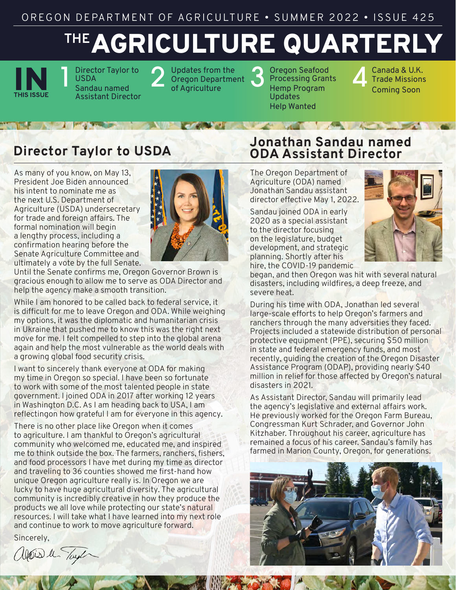# AGRICULTURE QUARTERLY **THE**



Director Taylor to USDA Sandau named Assistant Director Pupdates from the<br>Oregon Departme<br>of Agriculture Oregon Department Updates from the Coregon Seafood<br>Oregon Department Strocessing Grant<br>of Agriculture Hemp Program

Processing Grants Hemp Program Updates Help Wanted

**4 Canada & U.K.**<br>Trade Missions<br>Coming Soon Trade Missions Coming Soon

# **Director Taylor to USDA**

As many of you know, on May 13, President Joe Biden announced his intent to nominate me as the next U.S. Department of Agriculture (USDA) undersecretary for trade and foreign affairs. The formal nomination will begin a lengthy process, including a confirmation hearing before the Senate Agriculture Committee and ultimately a vote by the full Senate.



Until the Senate confirms me, Oregon Governor Brown is gracious enough to allow me to serve as ODA Director and help the agency make a smooth transition.

While I am honored to be called back to federal service, it is difficult for me to leave Oregon and ODA. While weighing my options, it was the diplomatic and humanitarian crisis in Ukraine that pushed me to know this was the right next move for me. I felt compelled to step into the global arena again and help the most vulnerable as the world deals with a growing global food security crisis.

I want to sincerely thank everyone at ODA for making my time in Oregon so special. I have been so fortunate to work with some of the most talented people in state government. I joined ODA in 2017 after working 12 years in Washington D.C. As I am heading back to USA, I am reflectingon how grateful I am for everyone in this agency.

There is no other place like Oregon when it comes to agriculture. I am thankful to Oregon's agricultural community who welcomed me, educated me, and inspired me to think outside the box. The farmers, ranchers, fishers, and food processors I have met during my time as director and traveling to 36 counties showed me first-hand how unique Oregon agriculture really is. In Oregon we are lucky to have huge agricultural diversity. The agricultural community is incredibly creative in how they produce the products we all love while protecting our state's natural resources. I will take what I have learned into my next role and continue to work to move agriculture forward.

Sincerely,

Wais le Tayl

## **Jonathan Sandau named ODA Assistant Director**

The Oregon Department of Agriculture (ODA) named Jonathan Sandau assistant director effective May 1, 2022.

Sandau joined ODA in early 2020 as a special assistant to the director focusing on the legislature, budget development, and strategic planning. Shortly after his hire, the COVID-19 pandemic



began, and then Oregon was hit with several natural disasters, including wildfires, a deep freeze, and severe heat.

During his time with ODA, Jonathan led several large-scale efforts to help Oregon's farmers and ranchers through the many adversities they faced. Projects included a statewide distribution of personal protective equipment (PPE), securing \$50 million in state and federal emergency funds, and most recently, guiding the creation of the Oregon Disaster Assistance Program (ODAP), providing nearly \$40 million in relief for those affected by Oregon's natural disasters in 2021.

As Assistant Director, Sandau will primarily lead the agency's legislative and external affairs work. He previously worked for the Oregon Farm Bureau, Congressman Kurt Schrader, and Governor John Kitzhaber. Throughout his career, agriculture has remained a focus of his career. Sandau's family has farmed in Marion County, Oregon, for generations.

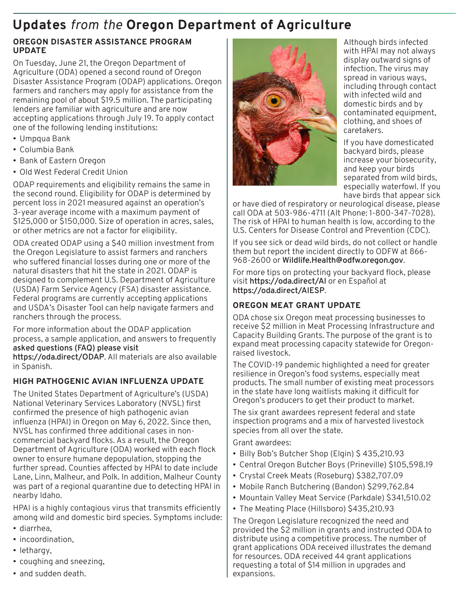# **Updates** *from the* **Oregon Department of Agriculture**

#### **OREGON DISASTER ASSISTANCE PROGRAM UPDATE**

On Tuesday, June 21, the Oregon Department of Agriculture (ODA) opened a second round of Oregon Disaster Assistance Program (ODAP) applications. Oregon farmers and ranchers may apply for assistance from the remaining pool of about \$19.5 million. The participating lenders are familiar with agriculture and are now accepting applications through July 19. To apply contact one of the following lending institutions:

- Umpqua Bank
- Columbia Bank
- Bank of Eastern Oregon
- Old West Federal Credit Union

ODAP requirements and eligibility remains the same in the second round. Eligibility for ODAP is determined by percent loss in 2021 measured against an operation's 3-year average income with a maximum payment of \$125,000 or \$150,000. Size of operation in acres, sales, or other metrics are not a factor for eligibility.

ODA created ODAP using a \$40 million investment from the Oregon Legislature to assist farmers and ranchers who suffered financial losses during one or more of the natural disasters that hit the state in 2021. ODAP is designed to complement U.S. Department of Agriculture (USDA) Farm Service Agency (FSA) disaster assistance. Federal programs are currently accepting applications and USDA's Disaster Tool can help navigate farmers and ranchers through the process.

For more information about the ODAP application process, a sample application, and answers to frequently **asked questions (FAQ) please visit** 

**<https://oda.direct/ODAP>**. All materials are also available in Spanish.

### **HIGH PATHOGENIC AVIAN INFLUENZA UPDATE**

The United States Department of Agriculture's (USDA) National Veterinary Services Laboratory (NVSL) first confirmed the presence of high pathogenic avian influenza (HPAI) in Oregon on May 6, 2022. Since then, NVSL has confirmed three additional cases in noncommercial backyard flocks. As a result, the Oregon Department of Agriculture (ODA) worked with each flock owner to ensure humane depopulation, stopping the further spread. Counties affected by HPAI to date include Lane, Linn, Malheur, and Polk. In addition, Malheur County was part of a regional quarantine due to detecting HPAI in nearby Idaho.

HPAI is a highly contagious virus that transmits efficiently among wild and domestic bird species. Symptoms include:

- diarrhea,
- incoordination,
- lethargy,
- coughing and sneezing,
- and sudden death.



Although birds infected with HPAI may not always display outward signs of infection. The virus may spread in various ways, including through contact with infected wild and domestic birds and by contaminated equipment, clothing, and shoes of caretakers.

If you have domesticated backyard birds, please increase your biosecurity, and keep your birds separated from wild birds, especially waterfowl. If you have birds that appear sick

or have died of respiratory or neurological disease, please call ODA at 503-986-4711 (Alt Phone: 1-800-347-7028). The risk of HPAI to human health is low, according to the U.S. Centers for Disease Control and Prevention (CDC).

If you see sick or dead wild birds, do not collect or handle them but report the incident directly to ODFW at 866- 968-2600 or **[Wildlife.Health@odfw.oregon.gov](mailto:Wildlife.Health@odfw.oregon.gov)**.

For more tips on protecting your backyard flock, please visit **<https://oda.direct/AI>** or en Español at **<https://oda.direct/AIESP>**.

### **OREGON MEAT GRANT UPDATE**

ODA chose six Oregon meat processing businesses to receive \$2 million in Meat Processing Infrastructure and Capacity Building Grants. The purpose of the grant is to expand meat processing capacity statewide for Oregonraised livestock.

The COVID-19 pandemic highlighted a need for greater resilience in Oregon's food systems, especially meat products. The small number of existing meat processors in the state have long waitlists making it difficult for Oregon's producers to get their product to market.

The six grant awardees represent federal and state inspection programs and a mix of harvested livestock species from all over the state.

Grant awardees:

- Billy Bob's Butcher Shop (Elgin) \$435,210.93
- Central Oregon Butcher Boys (Prineville) \$105,598.19
- Crystal Creek Meats (Roseburg) \$382,707.09
- Mobile Ranch Butchering (Bandon) \$299,762.84
- Mountain Valley Meat Service (Parkdale) \$341,510.02
- The Meating Place (Hillsboro) \$435,210.93

The Oregon Legislature recognized the need and provided the \$2 million in grants and instructed ODA to distribute using a competitive process. The number of grant applications ODA received illustrates the demand for resources. ODA received 44 grant applications requesting a total of \$14 million in upgrades and expansions.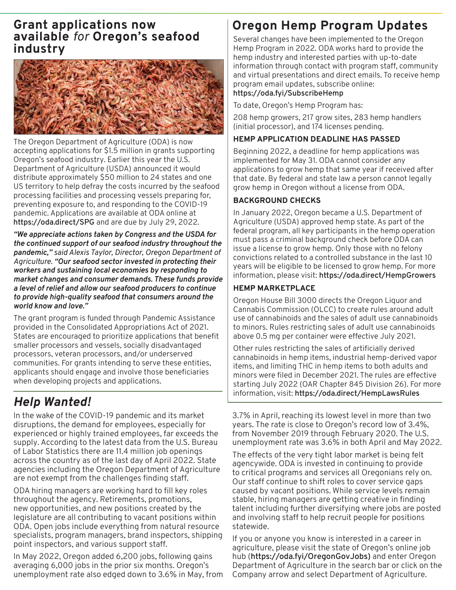## **Grant applications now available** *for* **Oregon's seafood industry**



The Oregon Department of Agriculture (ODA) is now accepting applications for \$1.5 million in grants supporting Oregon's seafood industry. Earlier this year the U.S. Department of Agriculture (USDA) announced it would distribute approximately \$50 million to 24 states and one US territory to help defray the costs incurred by the seafood processing facilities and processing vessels preparing for, preventing exposure to, and responding to the COVID-19 pandemic. Applications are available at ODA online at **<https://oda.direct/SPG>** and are due by July 29, 2022.

*"We appreciate actions taken by Congress and the USDA for the continued support of our seafood industry throughout the pandemic," said Alexis Taylor, Director, Oregon Department of Agriculture. "Our seafood sector invested in protecting their workers and sustaining local economies by responding to market changes and consumer demands. These funds provide a level of relief and allow our seafood producers to continue to provide high-quality seafood that consumers around the world know and love."*

The grant program is funded through Pandemic Assistance provided in the Consolidated Appropriations Act of 2021. States are encouraged to prioritize applications that benefit smaller processors and vessels, socially disadvantaged processors, veteran processors, and/or underserved communities. For grants intending to serve these entities, applicants should engage and involve those beneficiaries when developing projects and applications.

# *Help Wanted!*

In the wake of the COVID-19 pandemic and its market disruptions, the demand for employees, especially for experienced or highly trained employees, far exceeds the supply. According to the latest data from the U.S. Bureau of Labor Statistics there are 11.4 million job openings across the country as of the last day of April 2022. State agencies including the Oregon Department of Agriculture are not exempt from the challenges finding staff.

ODA hiring managers are working hard to fill key roles throughout the agency. Retirements, promotions, new opportunities, and new positions created by the legislature are all contributing to vacant positions within ODA. Open jobs include everything from natural resource specialists, program managers, brand inspectors, shipping point inspectors, and various support staff.

In May 2022, Oregon added 6,200 jobs, following gains averaging 6,000 jobs in the prior six months. Oregon's unemployment rate also edged down to 3.6% in May, from

# **Oregon Hemp Program Updates**

Several changes have been implemented to the Oregon Hemp Program in 2022. ODA works hard to provide the hemp industry and interested parties with up-to-date information through contact with program staff, community and virtual presentations and direct emails. To receive hemp program email updates, subscribe online:

#### **<https://oda.fyi/SubscribeHemp>**

To date, Oregon's Hemp Program has:

208 hemp growers, 217 grow sites, 283 hemp handlers (initial processor), and 174 licenses pending.

### **HEMP APPLICATION DEADLINE HAS PASSED**

Beginning 2022, a deadline for hemp applications was implemented for May 31. ODA cannot consider any applications to grow hemp that same year if received after that date. By federal and state law a person cannot legally grow hemp in Oregon without a license from ODA.

## **BACKGROUND CHECKS**

In January 2022, Oregon became a U.S. Department of Agriculture (USDA) approved hemp state. As part of the federal program, all key participants in the hemp operation must pass a criminal background check before ODA can issue a license to grow hemp. Only those with no felony convictions related to a controlled substance in the last 10 years will be eligible to be licensed to grow hemp. For more information, please visit: **<https://oda.direct/HempGrowers>**

#### **HEMP MARKETPLACE**

Oregon House Bill 3000 directs the Oregon Liquor and Cannabis Commission (OLCC) to create rules around adult use of cannabinoids and the sales of adult use cannabinoids to minors. Rules restricting sales of adult use cannabinoids above 0.5 mg per container were effective July 2021.

Other rules restricting the sales of artificially derived cannabinoids in hemp items, industrial hemp-derived vapor items, and limiting THC in hemp items to both adults and minors were filed in December 2021. The rules are effective starting July 2022 (OAR Chapter 845 Division 26). For more information, visit: **<https://oda.direct/HempLawsRules>**

3.7% in April, reaching its lowest level in more than two years. The rate is close to Oregon's record low of 3.4%, from November 2019 through February 2020. The U.S. unemployment rate was 3.6% in both April and May 2022.

The effects of the very tight labor market is being felt agencywide. ODA is invested in continuing to provide to critical programs and services all Oregonians rely on. Our staff continue to shift roles to cover service gaps caused by vacant positions. While service levels remain stable, hiring managers are getting creative in finding talent including further diversifying where jobs are posted and involving staff to help recruit people for positions statewide.

If you or anyone you know is interested in a career in agriculture, please visit the state of Oregon's online job hub (**[https://oda.fyi/OregonGovJobs\)](https://oda.fyi/OregonGovJobs)** and enter Oregon Department of Agriculture in the search bar or click on the Company arrow and select Department of Agriculture.